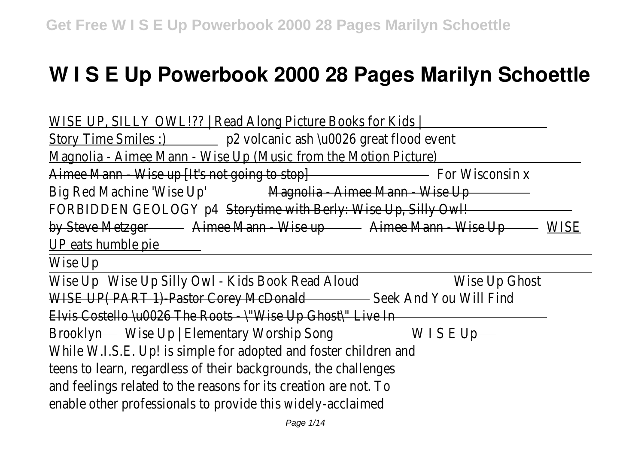# **W I S E Up Powerbook 2000 28 Pages Marilyn Schoettle**

WISE UP, SILLY OWL!?? | Read Along Picture Books for Kids Story Time Smiles :) p2 volcanic ash \u0026 great flood event Magnolia - Aimee Mann - Wise Up (Music from the Motion Picture) Aimee Mann - Wise up [It's not going to stop] For Wisconsin x Big Red Machine 'Wise Up' Magnolia - Aimee Mann - Wise Up FORBIDDEN GEOLOGY p4 Storytime with Berly: Wise Up, Silly Owl! by Steve Metzger - Aimee Mann - Wise up - Aimee Mann - Wise Up - WISE UP eats humble pie

Wise Up

Wise Up Wise Up Silly Owl - Kids Book Read Aloud Wise Up Ghost WISE UP( PART 1)-Pastor Corey McDonald - Seek And You Will Find Elvis Costello \u0026 The Roots - \"Wise Up Ghost\" Live In Brooklyn Wise Up | Elementary Worship Song  $W \cup S$  E Up While W.I.S.E. Up! is simple for adopted and foster children and teens to learn, regardless of their backgrounds, the challenges and feelings related to the reasons for its creation are not. To enable other professionals to provide this widely-acclaimed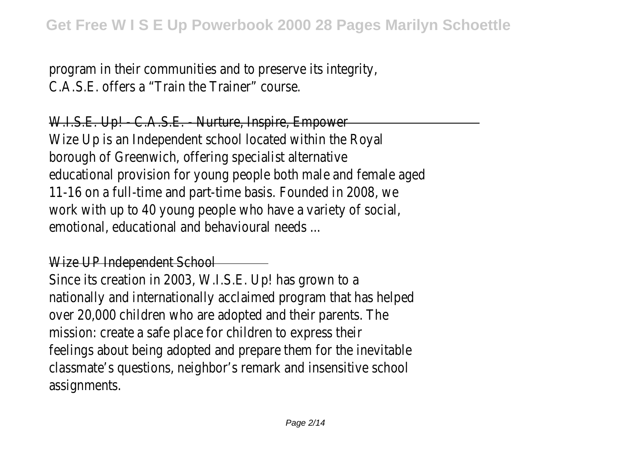program in their communities and to preserve its integrity, C.A.S.E. offers a "Train the Trainer" course.

W.I.S.E. Up! - C.A.S.E. - Nurture, Inspire, Empower Wize Up is an Independent school located within the Royal borough of Greenwich, offering specialist alternative educational provision for young people both male and female aged 11-16 on a full-time and part-time basis. Founded in 2008, we work with up to 40 young people who have a variety of social emotional, educational and behavioural needs ...

## Wize UP Independent School

Since its creation in 2003, W.I.S.E. Up! has grown to a nationally and internationally acclaimed program that has helped over 20,000 children who are adopted and their parents. The mission: create a safe place for children to express their feelings about being adopted and prepare them for the inevitable classmate's questions, neighbor's remark and insensitive school assignments.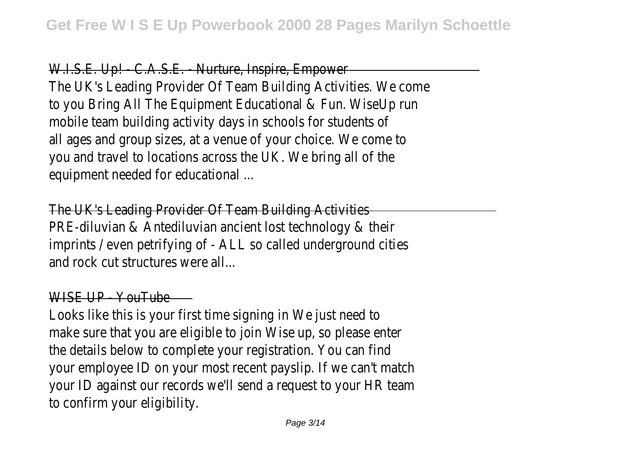#### W.I.S.E. Up! - C.A.S.E. - Nurture, Inspire, Empower

The UK's Leading Provider Of Team Building Activities. We come to you Bring All The Equipment Educational & Fun. WiseUp run mobile team building activity days in schools for students of all ages and group sizes, at a venue of your choice. We come to you and travel to locations across the UK. We bring all of the equipment needed for educational ...

The UK's Leading Provider Of Team Building Activities PRE-diluvian & Antediluvian ancient lost technology & their imprints / even petrifying of - ALL so called underground cities and rock cut structures were all...

#### WISE UP - YouTube

Looks like this is your first time signing in We just need to make sure that you are eligible to join Wise up, so please enter the details below to complete your registration. You can fine your employee ID on your most recent payslip. If we can't match your ID against our records we'll send a request to your HR team to confirm your eligibility.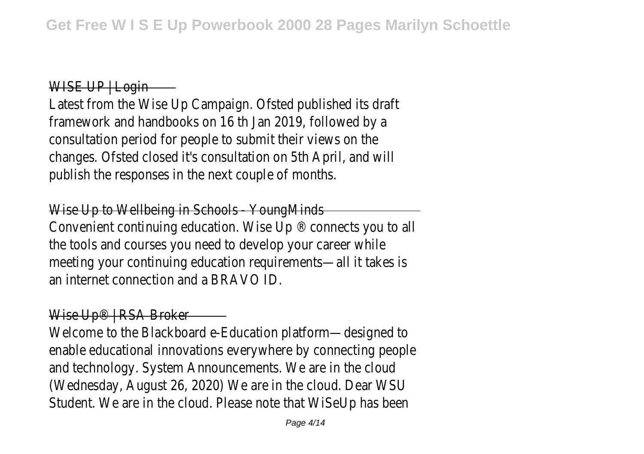## WISE UP | Login —

Latest from the Wise Up Campaign. Ofsted published its draft framework and handbooks on 16 th Jan 2019, followed by a consultation period for people to submit their views on the changes. Ofsted closed it's consultation on 5th April, and will publish the responses in the next couple of months

Wise Up to Wellbeing in Schools - Young Minds Convenient continuing education. Wise Up ® connects you to all the tools and courses you need to develop your career while meeting your continuing education requirements—all it takes is an internet connection and a BRAVO ID.

## Wise Up® | RSA Broker —

Welcome to the Blackboard e-Education platform—designed to enable educational innovations everywhere by connecting people and technology. System Announcements. We are in the cloud (Wednesday, August 26, 2020) We are in the cloud. Dear WSU Student. We are in the cloud. Please note that WiSeUp has been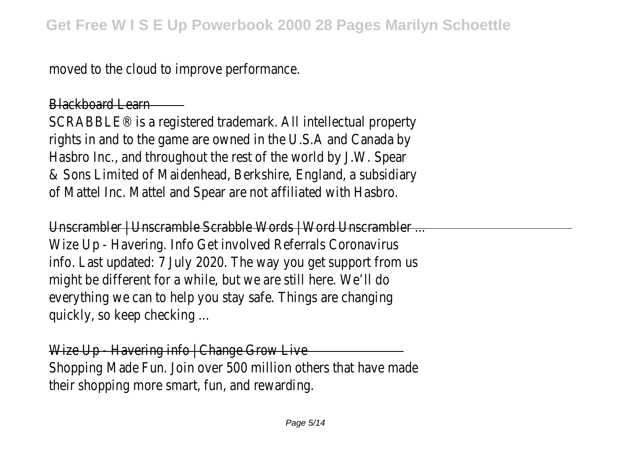moved to the cloud to improve performance.

## Blackboard Learn

SCRABBLE® is a registered trademark. All intellectual property rights in and to the game are owned in the U.S.A and Canada by Hasbro Inc., and throughout the rest of the world by J.W. Spear & Sons Limited of Maidenhead, Berkshire, England, a subsidiary of Mattel Inc. Mattel and Spear are not affiliated with Hasbro.

Unscrambler | Unscramble Scrabble Words | Word Unscrambler ... Wize Up - Havering. Info Get involved Referrals Coronavirus info. Last updated: 7 July 2020. The way you get support from us might be different for a while, but we are still here. We'll do everything we can to help you stay safe. Things are changing quickly, so keep checking ...

Wize Up - Havering info | Change Grow Live Shopping Made Fun. Join over 500 million others that have made their shopping more smart, fun, and rewarding.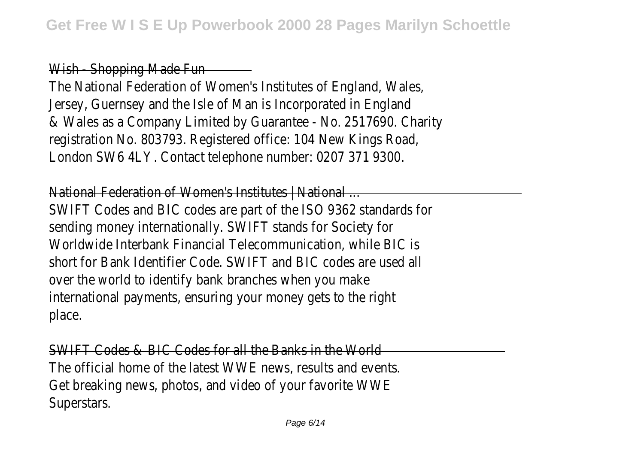Wish - Shopping Made Fun

The National Federation of Women's Institutes of England, Wales, Jersey, Guernsey and the Isle of Man is Incorporated in England & Wales as a Company Limited by Guarantee - No. 2517690. Charity registration No. 803793. Registered office: 104 New Kings Road, London SW6 4LY. Contact telephone number: 0207 371 9300.

National Federation of Women's Institutes | National ... SWIFT Codes and BIC codes are part of the ISO 9362 standards for sending money internationally. SWIFT stands for Society for Worldwide Interbank Financial Telecommunication, while BIC is short for Bank Identifier Code. SWIFT and BIC codes are used a over the world to identify bank branches when you make international payments, ensuring your money gets to the right place.

SWIFT Codes & BIC Codes for all the Banks in the World The official home of the latest WWE news, results and events. Get breaking news, photos, and video of your favorite WW Superstars.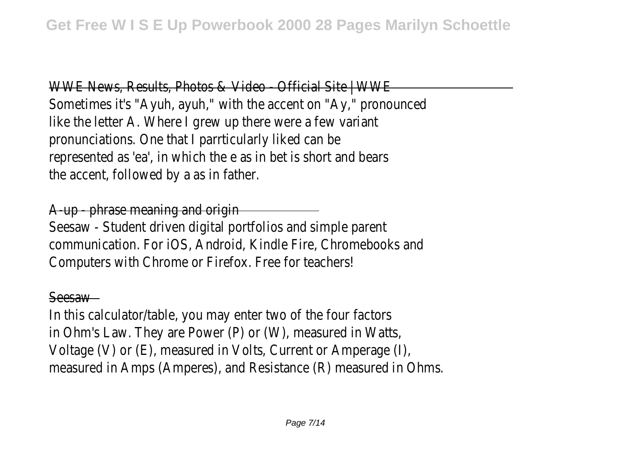WWE News, Results, Photos & Video - Official Site | WWI Sometimes it's "Ayuh, ayuh," with the accent on "Ay," pronounced like the letter A. Where I grew up there were a few varian pronunciations. One that I parrticularly liked can be represented as 'ea', in which the e as in bet is short and bears the accent, followed by a as in father.

A-up - phrase meaning and origin

Seesaw - Student driven digital portfolios and simple parent communication. For iOS, Android, Kindle Fire, Chromebooks and Computers with Chrome or Firefox. Free for teachers!

#### Seesaw

In this calculator/table, you may enter two of the four factors in Ohm's Law. They are Power (P) or (W), measured in Watts Voltage (V) or (E), measured in Volts, Current or Amperage (I), measured in Amps (Amperes), and Resistance (R) measured in Ohms.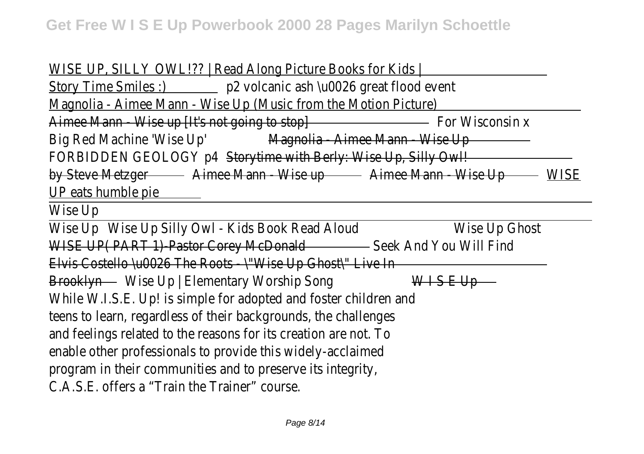WISE UP, SILLY OWL!?? | Read Along Picture Books for Kids Story Time Smiles :) p2 volcanic ash \u0026 great flood event Magnolia - Aimee Mann - Wise Up (Music from the Motion Picture) Aimee Mann - Wise up [It's not going to stop] For Wisconsin x Big Red Machine 'Wise Up' Magnolia - Aimee Mann - Wise Up FORBIDDEN GEOLOGY p4 Storytime with Berly: Wise Up, Silly Owl! by Steve Metzger - Aimee Mann - Wise up - Aimee Mann - Wise Up - WISE UP eats humble pie

Wise Up

Wise Up Wise Up Silly Owl - Kids Book Read Aloud Wise Up Ghost WISE UP( PART 1)-Pastor Corey McDonald - Seek And You Will Find Elvis Costello \u0026 The Roots - \"Wise Up Ghost\" Live In Brooklyn Wise Up | Elementary Worship Song WISE Up While W.I.S.E. Up! is simple for adopted and foster children and teens to learn, regardless of their backgrounds, the challenges and feelings related to the reasons for its creation are not. To enable other professionals to provide this widely-acclaimed program in their communities and to preserve its integrity, C.A.S.E. offers a "Train the Trainer" course.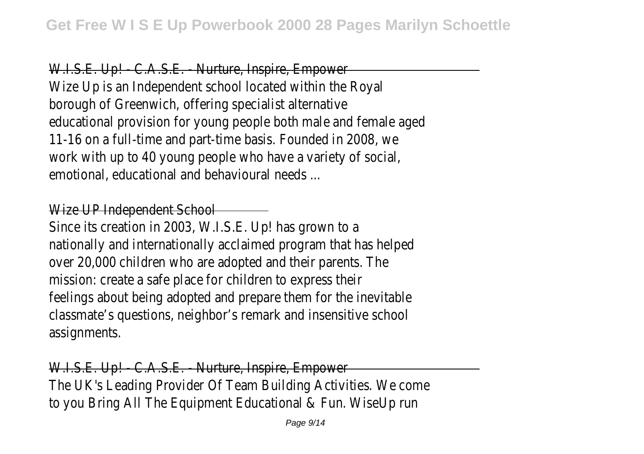W.I.S.E. Up! - C.A.S.E. - Nurture, Inspire, Empower Wize Up is an Independent school located within the Roya borough of Greenwich, offering specialist alternative educational provision for young people both male and female aged 11-16 on a full-time and part-time basis. Founded in 2008, we work with up to 40 young people who have a variety of social emotional, educational and behavioural needs ...

## Wize UP Independent School

Since its creation in 2003, W.I.S.E. Up! has grown to a nationally and internationally acclaimed program that has helped over 20,000 children who are adopted and their parents. The mission: create a safe place for children to express their feelings about being adopted and prepare them for the inevitable classmate's questions, neighbor's remark and insensitive school assignments.

W.I.S.E. Up! - C.A.S.E. - Nurture, Inspire, Empower The UK's Leading Provider Of Team Building Activities. We come to you Bring All The Equipment Educational & Fun. WiseUp run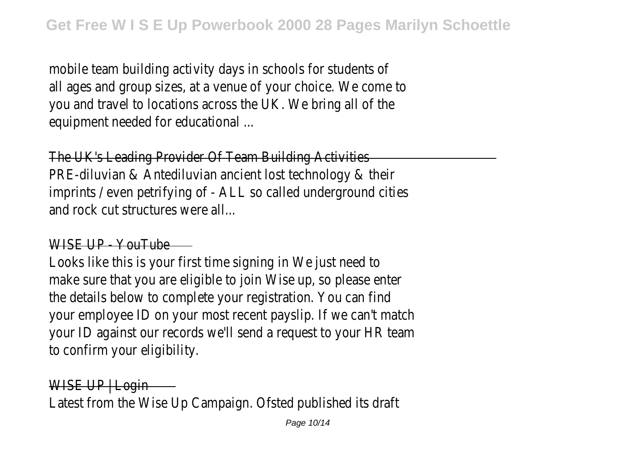mobile team building activity days in schools for students of all ages and group sizes, at a venue of your choice. We come to you and travel to locations across the UK. We bring all of the equipment needed for educational ...

The UK's Leading Provider Of Team Building Activities PRE-diluvian & Antediluvian ancient lost technology & their imprints / even petrifying of - ALL so called underground cities and rock cut structures were all...

## WISE UP - YouTube

Looks like this is your first time signing in We just need to make sure that you are eligible to join Wise up, so please enter the details below to complete your registration. You can fine your employee ID on your most recent payslip. If we can't match your ID against our records we'll send a request to your HR team to confirm your eligibility.

WISE UP | Login Latest from the Wise Up Campaign. Ofsted published its draft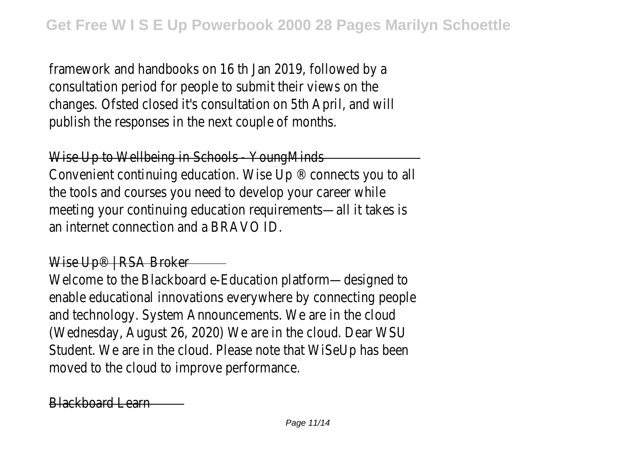framework and handbooks on 16 th Jan 2019, followed by a consultation period for people to submit their views on the changes. Ofsted closed it's consultation on 5th April, and will publish the responses in the next couple of months

Wise Up to Wellbeing in Schools - Young Minds

Convenient continuing education. Wise Up ® connects you to all the tools and courses you need to develop your career while meeting your continuing education requirements—all it takes is an internet connection and a BRAVO ID.

#### Wise Up® | RSA Broker —

Welcome to the Blackboard e-Education platform—designed to enable educational innovations everywhere by connecting people and technology. System Announcements. We are in the cloud (Wednesday, August 26, 2020) We are in the cloud. Dear WSU Student. We are in the cloud. Please note that WiSeUp has been moved to the cloud to improve performance.

Blackboard Learn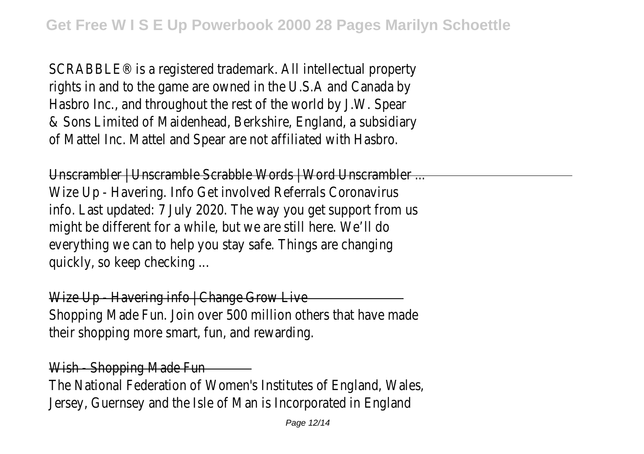SCRABBLE® is a registered trademark. All intellectual property rights in and to the game are owned in the U.S.A and Canada by Hasbro Inc., and throughout the rest of the world by J.W. Spear & Sons Limited of Maidenhead, Berkshire, England, a subsidiary of Mattel Inc. Mattel and Spear are not affiliated with Hasbro.

Unscrambler | Unscramble Scrabble Words | Word Unscrambler ... Wize Up - Havering. Info Get involved Referrals Coronavirus info. Last updated: 7 July 2020. The way you get support from us might be different for a while, but we are still here. We'll do everything we can to help you stay safe. Things are changing quickly, so keep checking ...

Wize Up - Havering info | Change Grow Live Shopping Made Fun. Join over 500 million others that have made their shopping more smart, fun, and rewarding.

Wish - Shopping Made Fun -

The National Federation of Women's Institutes of England, Wales, Jersey, Guernsey and the Isle of Man is Incorporated in England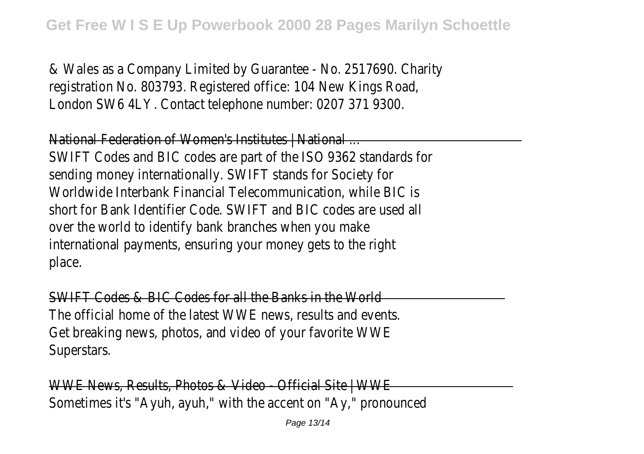& Wales as a Company Limited by Guarantee - No. 2517690. Charity registration No. 803793. Registered office: 104 New Kings Road, London SW6 4LY. Contact telephone number: 0207 371 9300.

National Federation of Women's Institutes | National . SWIFT Codes and BIC codes are part of the ISO 9362 standards for sending money internationally. SWIFT stands for Society for Worldwide Interbank Financial Telecommunication, while BIC is short for Bank Identifier Code. SWIFT and BIC codes are used a over the world to identify bank branches when you make international payments, ensuring your money gets to the right place.

SWIFT Codes & BIC Codes for all the Banks in the World The official home of the latest WWE news, results and events. Get breaking news, photos, and video of your favorite WW Superstars.

WWE News, Results, Photos & Video - Official Site | WW Sometimes it's "Ayuh, ayuh," with the accent on "Ay," pronounced